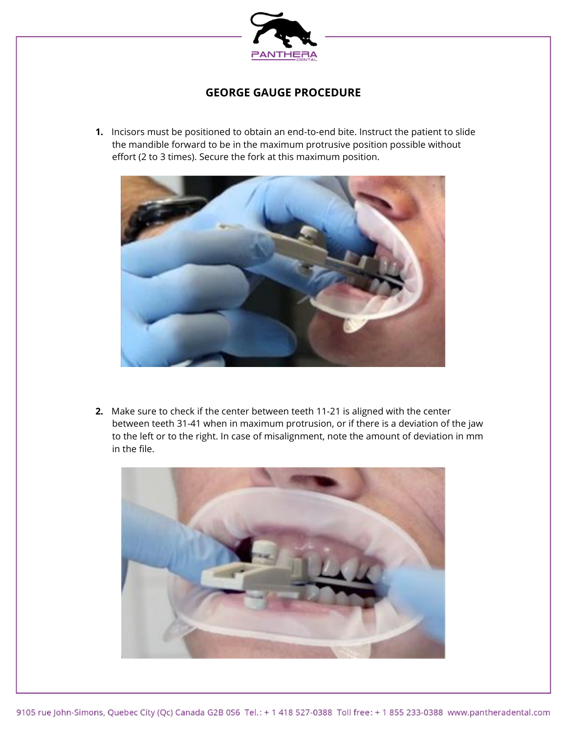

## **GEORGE GAUGE PROCEDURE**

**1.** Incisors must be positioned to obtain an end-to-end bite. Instruct the patient to slide the mandible forward to be in the maximum protrusive position possible without effort (2 to 3 times). Secure the fork at this maximum position.



**2.** Make sure to check if the center between teeth 11-21 is aligned with the center between teeth 31-41 when in maximum protrusion, or if there is a deviation of the jaw to the left or to the right. In case of misalignment, note the amount of deviation in mm in the file.

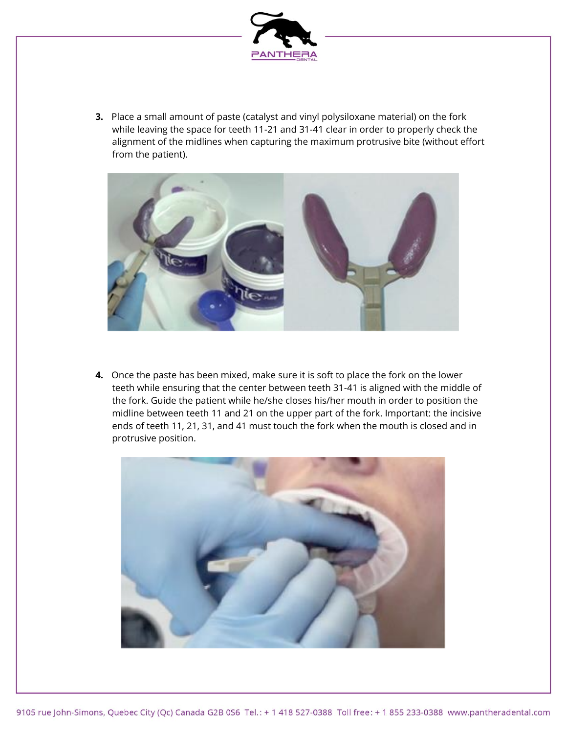

**3.** Place a small amount of paste (catalyst and vinyl polysiloxane material) on the fork while leaving the space for teeth 11-21 and 31-41 clear in order to properly check the alignment of the midlines when capturing the maximum protrusive bite (without effort from the patient).



**4.** Once the paste has been mixed, make sure it is soft to place the fork on the lower teeth while ensuring that the center between teeth 31-41 is aligned with the middle of the fork. Guide the patient while he/she closes his/her mouth in order to position the midline between teeth 11 and 21 on the upper part of the fork. Important: the incisive ends of teeth 11, 21, 31, and 41 must touch the fork when the mouth is closed and in protrusive position.

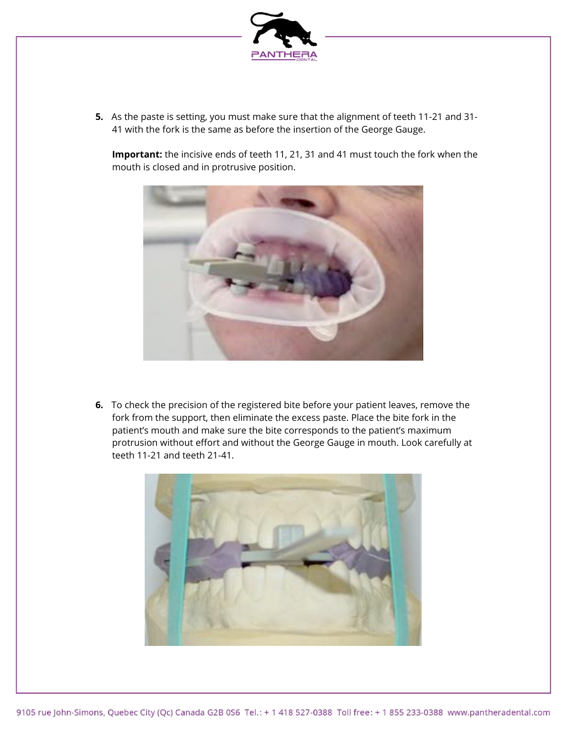

**5.** As the paste is setting, you must make sure that the alignment of teeth 11-21 and 31- 41 with the fork is the same as before the insertion of the George Gauge.

**Important:** the incisive ends of teeth 11, 21, 31 and 41 must touch the fork when the mouth is closed and in protrusive position.



**6.** To check the precision of the registered bite before your patient leaves, remove the fork from the support, then eliminate the excess paste. Place the bite fork in the patient's mouth and make sure the bite corresponds to the patient's maximum protrusion without effort and without the George Gauge in mouth. Look carefully at teeth 11-21 and teeth 21-41.